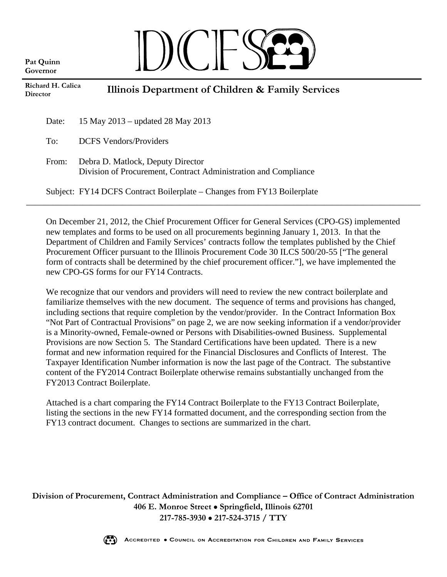**Pat Quinn Governor**

## $\|\ \)$  (  $\|$

| Richard H. Calica<br><b>Director</b> |       | Illinois Department of Children & Family Services                                                    |  |
|--------------------------------------|-------|------------------------------------------------------------------------------------------------------|--|
|                                      | Date: | 15 May 2013 – updated 28 May 2013                                                                    |  |
|                                      | To:   | <b>DCFS</b> Vendors/Providers                                                                        |  |
|                                      | From: | Debra D. Matlock, Deputy Director<br>Division of Procurement, Contract Administration and Compliance |  |
|                                      |       | Subject: FY14 DCFS Contract Boilerplate – Changes from FY13 Boilerplate                              |  |

On December 21, 2012, the Chief Procurement Officer for General Services (CPO-GS) implemented new templates and forms to be used on all procurements beginning January 1, 2013. In that the Department of Children and Family Services' contracts follow the templates published by the Chief Procurement Officer pursuant to the Illinois Procurement Code 30 ILCS 500/20-55 ["The general form of contracts shall be determined by the chief procurement officer."], we have implemented the new CPO-GS forms for our FY14 Contracts.

We recognize that our vendors and providers will need to review the new contract boilerplate and familiarize themselves with the new document. The sequence of terms and provisions has changed, including sections that require completion by the vendor/provider. In the Contract Information Box "Not Part of Contractual Provisions" on page 2, we are now seeking information if a vendor/provider is a Minority-owned, Female-owned or Persons with Disabilities-owned Business. Supplemental Provisions are now Section 5. The Standard Certifications have been updated. There is a new format and new information required for the Financial Disclosures and Conflicts of Interest. The Taxpayer Identification Number information is now the last page of the Contract. The substantive content of the FY2014 Contract Boilerplate otherwise remains substantially unchanged from the FY2013 Contract Boilerplate.

Attached is a chart comparing the FY14 Contract Boilerplate to the FY13 Contract Boilerplate, listing the sections in the new FY14 formatted document, and the corresponding section from the FY13 contract document. Changes to sections are summarized in the chart.

**Division of Procurement, Contract Administration and Compliance – Office of Contract Administration 406 E. Monroe Street Springfield, Illinois 62701 217-785-3930 217-524-3715 / TTY**

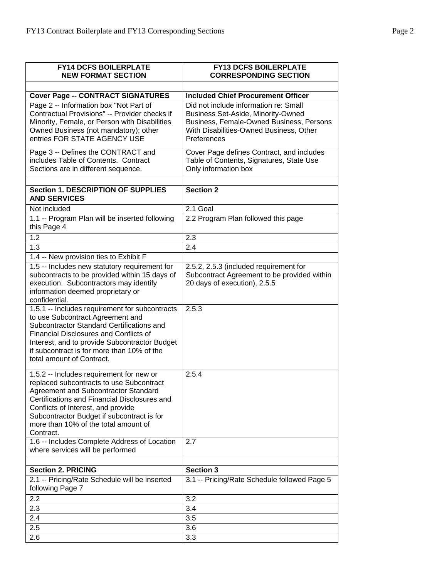| <b>FY14 DCFS BOILERPLATE</b><br><b>NEW FORMAT SECTION</b>                                                                                                                                                                                                                                                             | <b>FY13 DCFS BOILERPLATE</b><br><b>CORRESPONDING SECTION</b>                                                                                                                      |
|-----------------------------------------------------------------------------------------------------------------------------------------------------------------------------------------------------------------------------------------------------------------------------------------------------------------------|-----------------------------------------------------------------------------------------------------------------------------------------------------------------------------------|
| <b>Cover Page -- CONTRACT SIGNATURES</b>                                                                                                                                                                                                                                                                              | <b>Included Chief Procurement Officer</b>                                                                                                                                         |
| Page 2 -- Information box "Not Part of<br>Contractual Provisions" -- Provider checks if<br>Minority, Female, or Person with Disabilities<br>Owned Business (not mandatory); other<br>entries FOR STATE AGENCY USE                                                                                                     | Did not include information re: Small<br>Business Set-Aside, Minority-Owned<br>Business, Female-Owned Business, Persons<br>With Disabilities-Owned Business, Other<br>Preferences |
| Page 3 -- Defines the CONTRACT and<br>includes Table of Contents. Contract<br>Sections are in different sequence.                                                                                                                                                                                                     | Cover Page defines Contract, and includes<br>Table of Contents, Signatures, State Use<br>Only information box                                                                     |
| <b>Section 1. DESCRIPTION OF SUPPLIES</b><br><b>AND SERVICES</b>                                                                                                                                                                                                                                                      | <b>Section 2</b>                                                                                                                                                                  |
| Not included                                                                                                                                                                                                                                                                                                          | 2.1 Goal                                                                                                                                                                          |
| 1.1 -- Program Plan will be inserted following<br>this Page 4                                                                                                                                                                                                                                                         | 2.2 Program Plan followed this page                                                                                                                                               |
| 1.2                                                                                                                                                                                                                                                                                                                   | 2.3                                                                                                                                                                               |
| 1.3                                                                                                                                                                                                                                                                                                                   | 2.4                                                                                                                                                                               |
| 1.4 -- New provision ties to Exhibit F                                                                                                                                                                                                                                                                                |                                                                                                                                                                                   |
| 1.5 -- Includes new statutory requirement for<br>subcontracts to be provided within 15 days of<br>execution. Subcontractors may identify<br>information deemed proprietary or<br>confidential.                                                                                                                        | 2.5.2, 2.5.3 (included requirement for<br>Subcontract Agreement to be provided within<br>20 days of execution), 2.5.5                                                             |
| 1.5.1 -- Includes requirement for subcontracts<br>to use Subcontract Agreement and<br>Subcontractor Standard Certifications and<br><b>Financial Disclosures and Conflicts of</b><br>Interest, and to provide Subcontractor Budget<br>if subcontract is for more than 10% of the<br>total amount of Contract.          | 2.5.3                                                                                                                                                                             |
| 1.5.2 -- Includes requirement for new or<br>replaced subcontracts to use Subcontract<br>Agreement and Subcontractor Standard<br>Certifications and Financial Disclosures and<br>Conflicts of Interest, and provide<br>Subcontractor Budget if subcontract is for<br>more than 10% of the total amount of<br>Contract. | 2.5.4                                                                                                                                                                             |
| 1.6 -- Includes Complete Address of Location<br>where services will be performed                                                                                                                                                                                                                                      | 2.7                                                                                                                                                                               |
| <b>Section 2. PRICING</b>                                                                                                                                                                                                                                                                                             |                                                                                                                                                                                   |
| 2.1 -- Pricing/Rate Schedule will be inserted<br>following Page 7                                                                                                                                                                                                                                                     | <b>Section 3</b><br>3.1 -- Pricing/Rate Schedule followed Page 5                                                                                                                  |
| 2.2                                                                                                                                                                                                                                                                                                                   | 3.2                                                                                                                                                                               |
| 2.3                                                                                                                                                                                                                                                                                                                   | 3.4                                                                                                                                                                               |
| 2.4                                                                                                                                                                                                                                                                                                                   | 3.5                                                                                                                                                                               |
| 2.5                                                                                                                                                                                                                                                                                                                   | 3.6                                                                                                                                                                               |
| 2.6                                                                                                                                                                                                                                                                                                                   | 3.3                                                                                                                                                                               |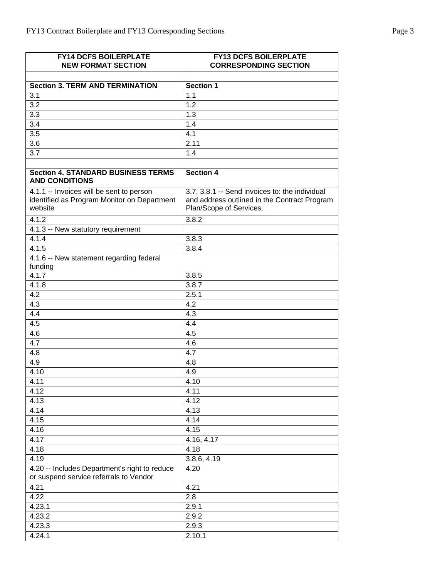| <b>FY14 DCFS BOILERPLATE</b>                                                            | <b>FY13 DCFS BOILERPLATE</b>                   |
|-----------------------------------------------------------------------------------------|------------------------------------------------|
| <b>NEW FORMAT SECTION</b>                                                               | <b>CORRESPONDING SECTION</b>                   |
|                                                                                         |                                                |
| <b>Section 3. TERM AND TERMINATION</b>                                                  | <b>Section 1</b>                               |
| 3.1                                                                                     | 1.1                                            |
| $\overline{3.2}$                                                                        | $\overline{1.2}$                               |
| 3.3                                                                                     | 1.3                                            |
| 3.4                                                                                     | 1.4                                            |
| $\overline{3.5}$                                                                        | 4.1                                            |
| 3.6                                                                                     | 2.11                                           |
| 3.7                                                                                     | 1.4                                            |
|                                                                                         |                                                |
|                                                                                         |                                                |
| <b>Section 4. STANDARD BUSINESS TERMS</b><br><b>AND CONDITIONS</b>                      | <b>Section 4</b>                               |
| 4.1.1 -- Invoices will be sent to person                                                | 3.7, 3.8.1 -- Send invoices to: the individual |
| identified as Program Monitor on Department                                             | and address outlined in the Contract Program   |
| website                                                                                 | Plan/Scope of Services.                        |
| 4.1.2                                                                                   | 3.8.2                                          |
| 4.1.3 -- New statutory requirement                                                      |                                                |
| 4.1.4                                                                                   | 3.8.3                                          |
| 4.1.5                                                                                   | 3.8.4                                          |
| 4.1.6 -- New statement regarding federal                                                |                                                |
| funding                                                                                 |                                                |
| 4.1.7                                                                                   | 3.8.5                                          |
| 4.1.8                                                                                   | 3.8.7                                          |
| $\overline{4.2}$                                                                        | 2.5.1                                          |
| $\overline{4.3}$                                                                        | $\overline{4.2}$                               |
| 4.4                                                                                     | 4.3                                            |
| 4.5                                                                                     | 4.4                                            |
| 4.6                                                                                     | 4.5                                            |
| 4.7                                                                                     | 4.6                                            |
| $\overline{4.8}$                                                                        | $\overline{4.7}$                               |
| 4.9                                                                                     | 4.8                                            |
| 4.10                                                                                    | 4.9                                            |
| 4.11                                                                                    | 4.10                                           |
| 4.12                                                                                    | 4.11                                           |
| 4.13                                                                                    | 4.12                                           |
| 4.14                                                                                    | 4.13                                           |
| 4.15                                                                                    | 4.14                                           |
|                                                                                         |                                                |
| 4.16                                                                                    | 4.15                                           |
| 4.17                                                                                    | 4.16, 4.17                                     |
| 4.18                                                                                    | 4.18                                           |
| 4.19                                                                                    | 3.8.6, 4.19                                    |
| 4.20 -- Includes Department's right to reduce<br>or suspend service referrals to Vendor | 4.20                                           |
| 4.21                                                                                    | 4.21                                           |
| 4.22                                                                                    | 2.8                                            |
| 4.23.1                                                                                  | 2.9.1                                          |
| 4.23.2                                                                                  | 2.9.2                                          |
| 4.23.3                                                                                  | 2.9.3                                          |
| 4.24.1                                                                                  | 2.10.1                                         |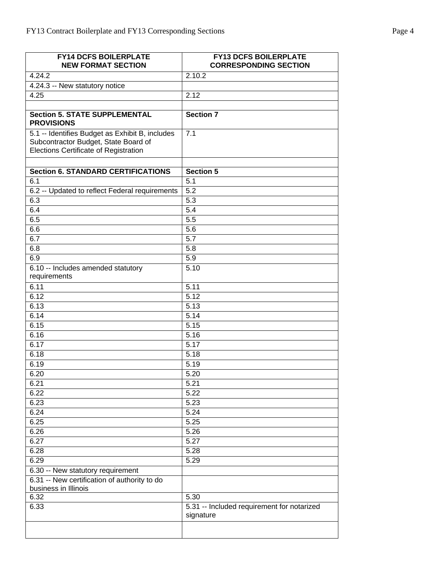| <b>FY14 DCFS BOILERPLATE</b><br><b>NEW FORMAT SECTION</b>                                                                               | <b>FY13 DCFS BOILERPLATE</b><br><b>CORRESPONDING SECTION</b> |
|-----------------------------------------------------------------------------------------------------------------------------------------|--------------------------------------------------------------|
| 4.24.2                                                                                                                                  | 2.10.2                                                       |
| 4.24.3 -- New statutory notice                                                                                                          |                                                              |
| 4.25                                                                                                                                    | 2.12                                                         |
|                                                                                                                                         |                                                              |
| <b>Section 5. STATE SUPPLEMENTAL</b><br><b>PROVISIONS</b>                                                                               | <b>Section 7</b>                                             |
| 5.1 -- Identifies Budget as Exhibit B, includes<br>Subcontractor Budget, State Board of<br><b>Elections Certificate of Registration</b> | 7.1                                                          |
| <b>Section 6. STANDARD CERTIFICATIONS</b>                                                                                               | <b>Section 5</b>                                             |
| 6.1                                                                                                                                     | 5.1                                                          |
| 6.2 -- Updated to reflect Federal requirements                                                                                          | $\overline{5.2}$                                             |
| 6.3                                                                                                                                     | 5.3                                                          |
| 6.4                                                                                                                                     | $\overline{5.4}$                                             |
| 6.5                                                                                                                                     | $\overline{5.5}$                                             |
| 6.6                                                                                                                                     | 5.6                                                          |
| 6.7                                                                                                                                     | $\overline{5.7}$                                             |
| 6.8                                                                                                                                     | 5.8                                                          |
| 6.9                                                                                                                                     | 5.9                                                          |
| 6.10 -- Includes amended statutory<br>requirements                                                                                      | 5.10                                                         |
| 6.11                                                                                                                                    | 5.11                                                         |
| 6.12                                                                                                                                    | $\overline{5.12}$                                            |
| 6.13                                                                                                                                    | 5.13                                                         |
| 6.14                                                                                                                                    | 5.14                                                         |
| 6.15                                                                                                                                    | 5.15                                                         |
| 6.16                                                                                                                                    | $\overline{5.16}$                                            |
| 6.17                                                                                                                                    | 5.17                                                         |
| 6.18                                                                                                                                    | 5.18                                                         |
| 6.19                                                                                                                                    | 5.19                                                         |
| 6.20                                                                                                                                    | 5.20                                                         |
| 6.21                                                                                                                                    | 5.21                                                         |
| 6.22                                                                                                                                    | 5.22                                                         |
| 6.23                                                                                                                                    | 5.23                                                         |
| 6.24                                                                                                                                    | 5.24                                                         |
| 6.25                                                                                                                                    | 5.25                                                         |
| 6.26                                                                                                                                    | 5.26                                                         |
| 6.27                                                                                                                                    | 5.27                                                         |
| 6.28                                                                                                                                    | 5.28                                                         |
| 6.29                                                                                                                                    | 5.29                                                         |
| 6.30 -- New statutory requirement                                                                                                       |                                                              |
| 6.31 -- New certification of authority to do                                                                                            |                                                              |
| business in Illinois                                                                                                                    |                                                              |
| 6.32                                                                                                                                    | 5.30                                                         |
| 6.33                                                                                                                                    | 5.31 -- Included requirement for notarized<br>signature      |
|                                                                                                                                         |                                                              |